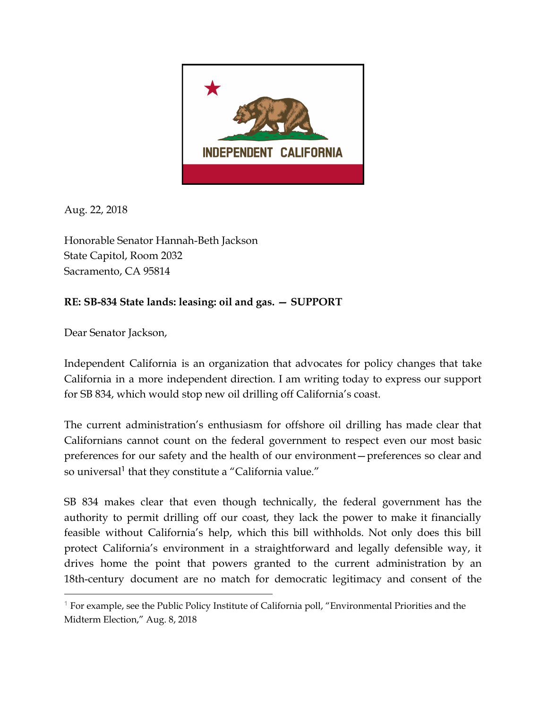

Aug. 22, 2018

Honorable Senator Hannah-Beth Jackson State Capitol, Room 2032 Sacramento, CA 95814

## **RE: SB-834 State lands: leasing: oil and gas. – SUPPORT**

Dear Senator Jackson,

Independent California is an organization that advocates for policy changes that take California in a more independent direction. I am writing today to express our support for SB 834, which would stop new oil drilling off California's coast.

The current administration's enthusiasm for offshore oil drilling has made clear that Californians cannot count on the federal government to respect even our most basic preferences for our safety and the health of our environment—preferences so clear and so universal<sup>1</sup> that they constitute a "California value."

SB 834 makes clear that even though technically, the federal government has the authority to permit drilling off our coast, they lack the power to make it financially feasible without California's help, which this bill withholds. Not only does this bill protect California's environment in a straightforward and legally defensible way, it drives home the point that powers granted to the current administration by an 18th-century document are no match for democratic legitimacy and consent of the

<sup>&</sup>lt;sup>1</sup> For example, see the Public Policy Institute of California poll, "Environmental Priorities and the Midterm Election," Aug. 8, 2018